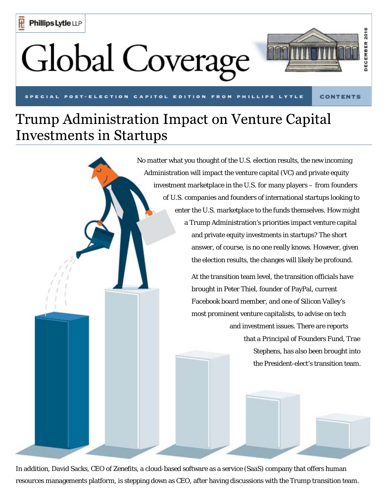## **Global Coverage**



**FROM** 

**CONTENTS** 

## Trump Administration Impact on Venture Capital **Investments in Startups**



In addition, David Sacks, CEO of Zenefits, a cloud-based software as a service (SaaS) company that offers human resources managements platform, is stepping down as CEO, after having discussions with the Trump transition team.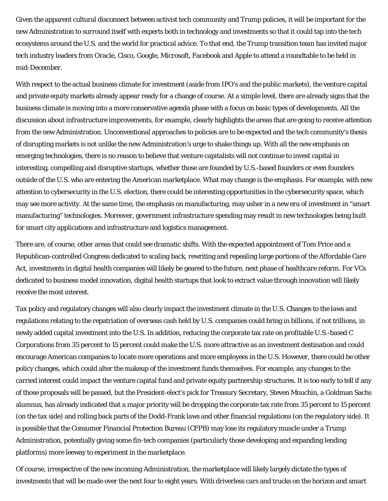Given the apparent cultural disconnect between activist tech community and Trump policies, it will be important for the new Administration to surround itself with experts both in technology and investments so that it could tap into the tech ecosystems around the U.S. and the world for practical advice. To that end, the Trump transition team has invited major tech industry leaders from Oracle, Cisco, Google, Microsoft, Facebook and Apple to attend a roundtable to be held in mid-December.

With respect to the actual business climate for investment (aside from IPO's and the public markets), the venture capital and private equity markets already appear ready for a change of course. At a simple level, there are already signs that the business climate is moving into a more conservative agenda phase with a focus on basic types of developments. All the discussion about infrastructure improvements, for example, clearly highlights the areas that are going to receive attention from the new Administration. Unconventional approaches to policies are to be expected and the tech community's thesis of disrupting markets is not unlike the new Administration's urge to shake things up. With all the new emphasis on emerging technologies, there is no reason to believe that venture capitalists will not continue to invest capital in interesting, compelling and disruptive startups, whether those are founded by U.S.-based founders or even founders outside of the U.S. who are entering the American marketplace. What may change is the emphasis. For example, with new attention to cybersecurity in the U.S. election, there could be interesting opportunities in the cybersecurity space, which may see more activity. At the same time, the emphasis on manufacturing, may usher in a new era of investment in "smart manufacturing" technologies. Moreover, government infrastructure spending may result in new technologies being built for smart city applications and infrastructure and logistics management.

There are, of course, other areas that could see dramatic shifts. With the expected appointment of Tom Price and a Republican-controlled Congress dedicated to scaling back, rewriting and repealing large portions of the Affordable Care Act, investments in digital health companies will likely be geared to the future, next phase of healthcare reform. For VCs dedicated to business model innovation, digital health startups that look to extract value through innovation will likely receive the most interest.

Tax policy and regulatory changes will also clearly impact the investment climate in the U.S. Changes to the laws and regulations relating to the repatriation of overseas cash held by U.S. companies could bring in billions, if not trillions, in newly added capital investment into the U.S. In addition, reducing the corporate tax rate on profitable U.S.-based C Corporations from 35 percent to 15 percent could make the U.S. more attractive as an investment destination and could encourage American companies to locate more operations and more employees in the U.S. However, there could be other policy changes, which could alter the makeup of the investment funds themselves. For example, any changes to the carried interest could impact the venture capital fund and private equity partnership structures. It is too early to tell if any of those proposals will be passed, but the President-elect's pick for Treasury Secretary, Steven Mnuchin, a Goldman Sachs alumnus, has already indicated that a major priority will be dropping the corporate tax rate from 35 percent to 15 percent (on the tax side) and rolling back parts of the Dodd-Frank laws and other financial regulations (on the regulatory side). It is possible that the Consumer Financial Protection Bureau (CFPB) may lose its regulatory muscle under a Trump Administration, potentially giving some fin-tech companies (particularly those developing and expanding lending platforms) more leeway to experiment in the marketplace.

Of course, irrespective of the new incoming Administration, the marketplace will likely largely dictate the types of investments that will be made over the next four to eight years. With driverless cars and trucks on the horizon and smart